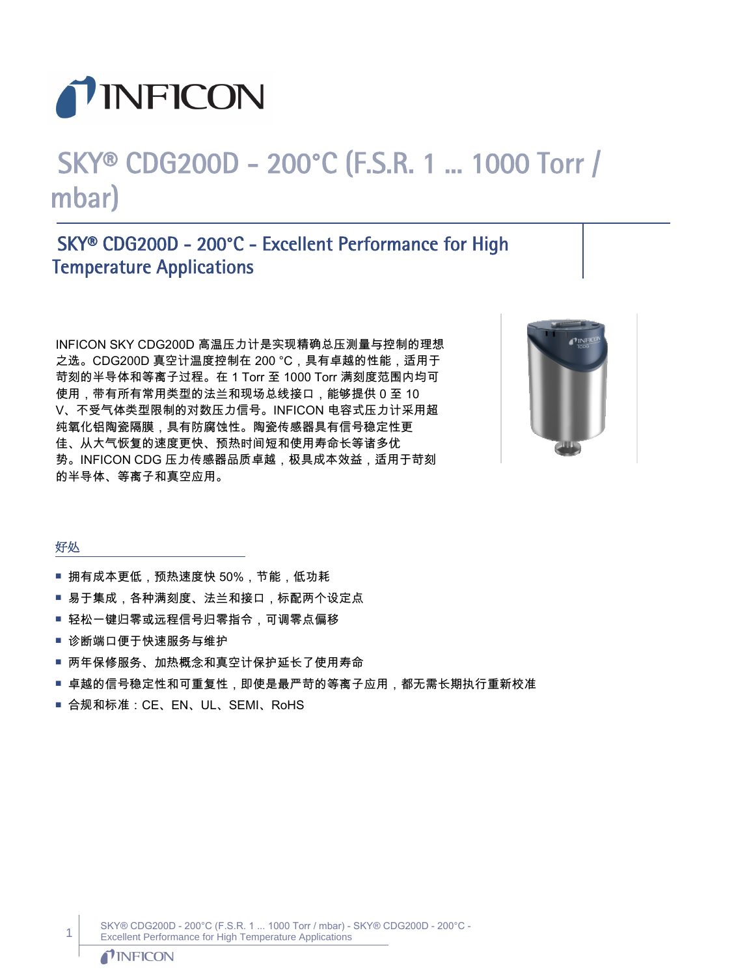

# SKY® CDG200D - 200°C (F.S.R. 1 ... 1000 Torr / mbar)

## SKY® CDG200D - 200°C - Excellent Performance for High Temperature Applications

INFICON SKY CDG200D 高温压力计是实现精确总压测量与控制的理想 之选。CDG200D 真空计温度控制在 200 °C,具有卓越的性能,适用于 苛刻的半导体和等离子过程。在 1 Torr 至 1000 Torr 满刻度范围内均可 使用,带有所有常用类型的法兰和现场总线接口,能够提供 0 至 10 V、不受气体类型限制的对数压力信号。INFICON 电容式压力计采用超 纯氧化铝陶瓷隔膜,具有防腐蚀性。陶瓷传感器具有信号稳定性更 佳、从大气恢复的速度更快、预热时间短和使用寿命长等诸多优 势。INFICON CDG 压力传感器品质卓越,极具成本效益,适用于苛刻 的半导体、等离子和真空应用。



#### 好处

- 拥有成本更低,预热速度快 50%,节能,低功耗
- 易于集成,各种满刻度、法兰和接口,标配两个设定点
- 轻松一键归零或远程信号归零指令,可调零点偏移
- 诊断端口便于快速服务与维护
- 两年保修服务、加热概念和真空计保护延长了使用寿命
- 卓越的信号稳定性和可重复性,即使是最严苛的等离子应用,都无需长期执行重新校准
- 合规和标准: CE、EN、UL、SEMI、RoHS

SKY® CDG200D - 200°C (F.S.R. 1 ... 1000 Torr / mbar) - SKY® CDG200D - 200°C - Excellent Performance for High Temperature Applications

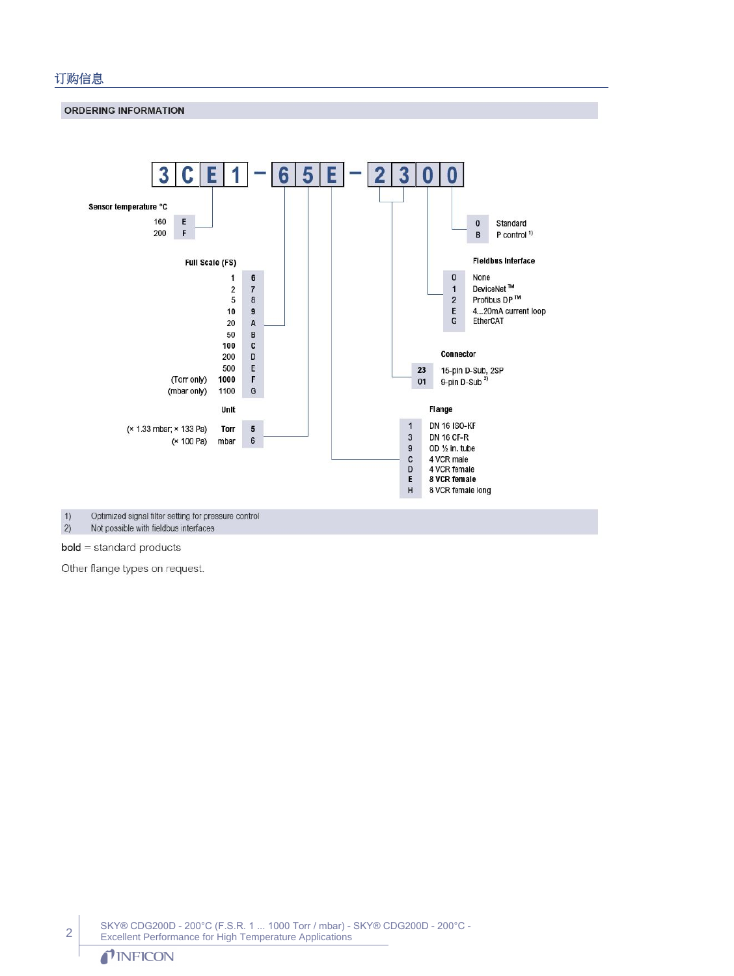#### 订购信息

**ORDERING INFORMATION** 



 $1)$ Optimized signal filter setting for pressure control  $\overline{2}$ Not possible with fieldbus interfaces

**bold** = standard products

Other flange types on request.

SKY® CDG200D - 200°C (F.S.R. 1 ... 1000 Torr / mbar) - SKY® CDG200D - 200°C - Excellent Performance for High Temperature Applications

#### TINFICON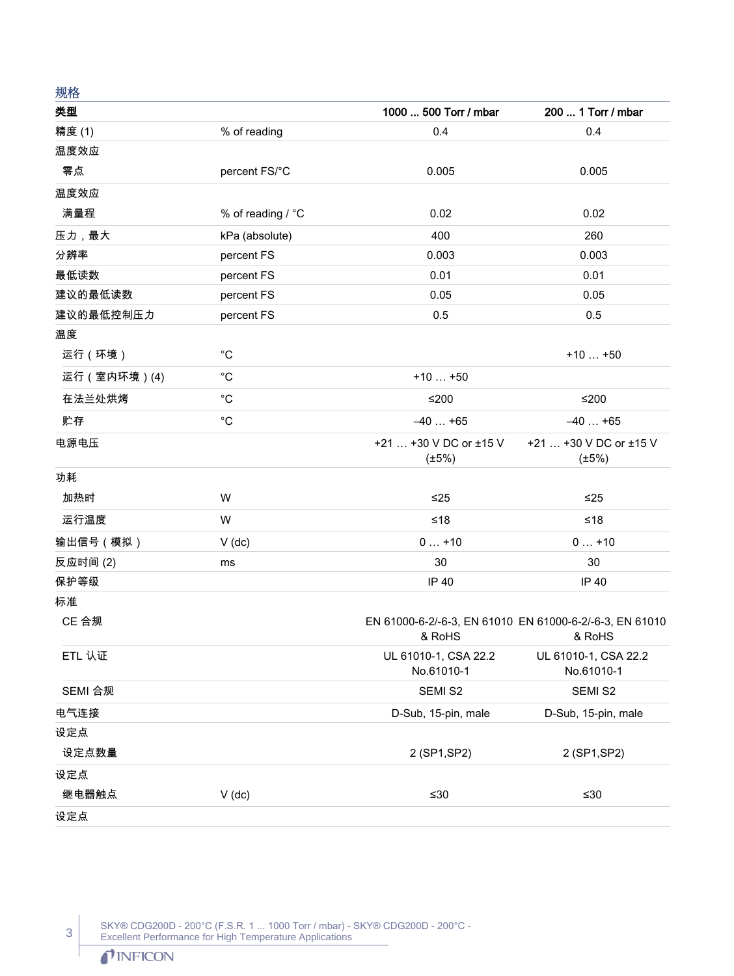| グロイロ         |                   |                                                                             |                                       |
|--------------|-------------------|-----------------------------------------------------------------------------|---------------------------------------|
| 类型           |                   | 1000  500 Torr / mbar                                                       | 200  1 Torr / mbar                    |
| 精度 (1)       | % of reading      | 0.4                                                                         | 0.4                                   |
| 温度效应         |                   |                                                                             |                                       |
| 零点           | percent FS/°C     | 0.005                                                                       | 0.005                                 |
| 温度效应         |                   |                                                                             |                                       |
| 满量程          | % of reading / °C | 0.02                                                                        | 0.02                                  |
| 压力,最大        | kPa (absolute)    | 400                                                                         | 260                                   |
| 分辨率          | percent FS        | 0.003                                                                       | 0.003                                 |
| 最低读数         | percent FS        | 0.01                                                                        | 0.01                                  |
| 建议的最低读数      | percent FS        | 0.05                                                                        | 0.05                                  |
| 建议的最低控制压力    | percent FS        | 0.5                                                                         | 0.5                                   |
| 温度           |                   |                                                                             |                                       |
| 运行(环境)       | $^{\circ}C$       |                                                                             | $+10+50$                              |
| 运行 (室内环境)(4) | $^{\circ}C$       | $+10+50$                                                                    |                                       |
| 在法兰处烘烤       | $^{\circ}C$       | $≤200$                                                                      | $≤200$                                |
| 贮存           | $^{\circ}C$       | $-40+65$                                                                    | $-40+65$                              |
| 电源电压         |                   | +21  +30 V DC or ±15 V<br>$(\pm 5\%)$                                       | +21  +30 V DC or ±15 V<br>$(\pm 5\%)$ |
| 功耗           |                   |                                                                             |                                       |
| 加热时          | W                 | ≤25                                                                         | ≤25                                   |
| 运行温度         | W                 | $≤18$                                                                       | ≤18                                   |
| 输出信号(模拟)     | $V$ (dc)          | $0+10$                                                                      | $0+10$                                |
| 反应时间(2)      | ms                | 30                                                                          | 30                                    |
| 保护等级         |                   | IP 40                                                                       | IP 40                                 |
| 标准           |                   |                                                                             |                                       |
| CE 合规        |                   | EN 61000-6-2/-6-3, EN 61010 EN 61000-6-2/-6-3, EN 61010<br>& RoHS<br>& RoHS |                                       |
| ETL 认证       |                   | UL 61010-1, CSA 22.2<br>No.61010-1                                          | UL 61010-1, CSA 22.2<br>No.61010-1    |
| SEMI 合规      |                   | SEMI S2                                                                     | SEMI S2                               |
| 电气连接         |                   | D-Sub, 15-pin, male                                                         | D-Sub, 15-pin, male                   |
| 设定点          |                   |                                                                             |                                       |
| 设定点数量        |                   | 2 (SP1, SP2)                                                                | 2 (SP1, SP2)                          |
| 设定点          |                   |                                                                             |                                       |
| 继电器触点        | $V$ (dc)          | $≤30$                                                                       | ≤ $30$                                |
| 设定点          |                   |                                                                             |                                       |

SKY® CDG200D - 200°C (F.S.R. 1 ... 1000 Torr / mbar) - SKY® CDG200D - 200°C - Excellent Performance for High Temperature Applications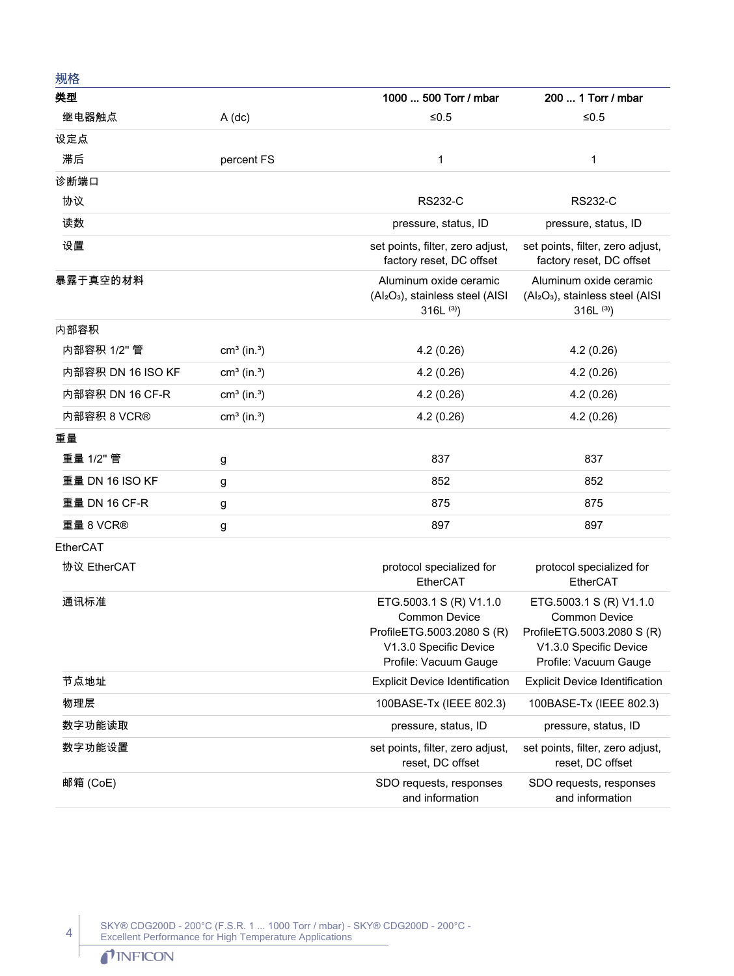| 规格              |                           |                                                                                                                                  |                                                                                                                                  |
|-----------------|---------------------------|----------------------------------------------------------------------------------------------------------------------------------|----------------------------------------------------------------------------------------------------------------------------------|
| 类型              |                           | 1000  500 Torr / mbar                                                                                                            | 200  1 Torr / mbar                                                                                                               |
| 继电器触点           | $A$ (dc)                  | $≤0.5$                                                                                                                           | $≤0.5$                                                                                                                           |
| 设定点             |                           |                                                                                                                                  |                                                                                                                                  |
| 滞后              | percent FS                | 1                                                                                                                                | 1                                                                                                                                |
| 诊断端口            |                           |                                                                                                                                  |                                                                                                                                  |
| 协议              |                           | <b>RS232-C</b>                                                                                                                   | <b>RS232-C</b>                                                                                                                   |
| 读数              |                           | pressure, status, ID                                                                                                             | pressure, status, ID                                                                                                             |
| 设置              |                           | set points, filter, zero adjust,<br>factory reset, DC offset                                                                     | set points, filter, zero adjust,<br>factory reset, DC offset                                                                     |
| 暴露于真空的材料        |                           | Aluminum oxide ceramic<br>(Al <sub>2</sub> O <sub>3</sub> ), stainless steel (AISI<br>$316L^{(3)}$                               | Aluminum oxide ceramic<br>(Al <sub>2</sub> O <sub>3</sub> ), stainless steel (AISI<br>$316L^{(3)}$                               |
| 内部容积            |                           |                                                                                                                                  |                                                                                                                                  |
| 内部容积 1/2" 管     | $cm3$ (in. <sup>3</sup> ) | 4.2(0.26)                                                                                                                        | 4.2(0.26)                                                                                                                        |
|                 | $cm3$ (in. <sup>3</sup> ) | 4.2(0.26)                                                                                                                        | 4.2(0.26)                                                                                                                        |
| 内部容积 DN 16 CF-R | $cm3$ (in. <sup>3</sup> ) | 4.2(0.26)                                                                                                                        | 4.2(0.26)                                                                                                                        |
| 内部容积 8 VCR®     | $cm3$ (in. <sup>3</sup> ) | 4.2(0.26)                                                                                                                        | 4.2(0.26)                                                                                                                        |
| 重量              |                           |                                                                                                                                  |                                                                                                                                  |
| 重量 1/2" 管       | g                         | 837                                                                                                                              | 837                                                                                                                              |
| 重量 DN 16 ISO KF | g                         | 852                                                                                                                              | 852                                                                                                                              |
| 重量 DN 16 CF-R   | g                         | 875                                                                                                                              | 875                                                                                                                              |
| 重量 8 VCR®       | g                         | 897                                                                                                                              | 897                                                                                                                              |
| EtherCAT        |                           |                                                                                                                                  |                                                                                                                                  |
| 协议 EtherCAT     |                           | protocol specialized for<br>EtherCAT                                                                                             | protocol specialized for<br>EtherCAT                                                                                             |
| 通讯标准            |                           | ETG.5003.1 S (R) V1.1.0<br><b>Common Device</b><br>ProfileETG.5003.2080 S (R)<br>V1.3.0 Specific Device<br>Profile: Vacuum Gauge | ETG.5003.1 S (R) V1.1.0<br><b>Common Device</b><br>ProfileETG.5003.2080 S (R)<br>V1.3.0 Specific Device<br>Profile: Vacuum Gauge |
| 节点地址            |                           | <b>Explicit Device Identification</b>                                                                                            | <b>Explicit Device Identification</b>                                                                                            |
| 物理层             |                           | 100BASE-Tx (IEEE 802.3)                                                                                                          | 100BASE-Tx (IEEE 802.3)                                                                                                          |
| 数字功能读取          |                           | pressure, status, ID                                                                                                             | pressure, status, ID                                                                                                             |
| 数字功能设置          |                           | set points, filter, zero adjust,<br>reset, DC offset                                                                             | set points, filter, zero adjust,<br>reset, DC offset                                                                             |
| 邮箱 (CoE)        |                           | SDO requests, responses<br>and information                                                                                       | SDO requests, responses<br>and information                                                                                       |

SKY® CDG200D - 200°C (F.S.R. 1 ... 1000 Torr / mbar) - SKY® CDG200D - 200°C - Excellent Performance for High Temperature Applications

### TINFICON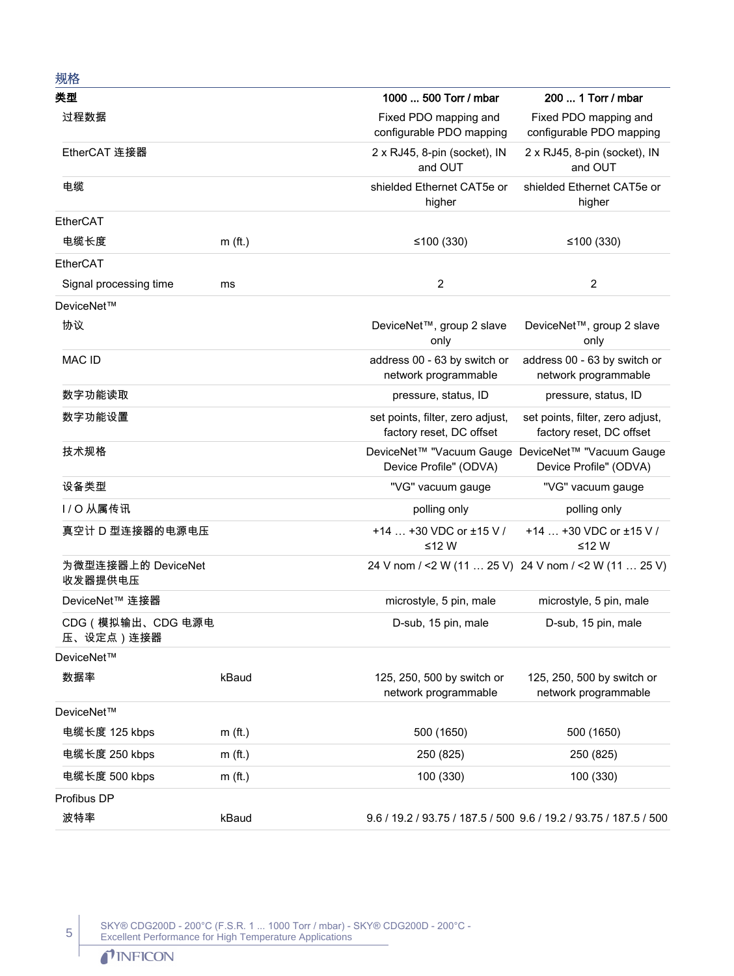| 规格                             |           |                                                                             |                                                              |
|--------------------------------|-----------|-----------------------------------------------------------------------------|--------------------------------------------------------------|
| 类型                             |           | 1000  500 Torr / mbar                                                       | 200  1 Torr / mbar                                           |
| 过程数据                           |           | Fixed PDO mapping and<br>configurable PDO mapping                           | Fixed PDO mapping and<br>configurable PDO mapping            |
| EtherCAT 连接器                   |           | 2 x RJ45, 8-pin (socket), IN<br>and OUT                                     | 2 x RJ45, 8-pin (socket), IN<br>and OUT                      |
| 电缆                             |           | shielded Ethernet CAT5e or<br>higher                                        | shielded Ethernet CAT5e or<br>higher                         |
| EtherCAT                       |           |                                                                             |                                                              |
| 电缆长度                           | $m$ (ft.) | ≤100 $(330)$                                                                | ≤100 $(330)$                                                 |
| EtherCAT                       |           |                                                                             |                                                              |
| Signal processing time         | ms        | $\overline{2}$                                                              | $\overline{2}$                                               |
| DeviceNet™                     |           |                                                                             |                                                              |
| 协议                             |           | DeviceNet™, group 2 slave<br>only                                           | DeviceNet™, group 2 slave<br>only                            |
| MAC ID                         |           | address 00 - 63 by switch or<br>network programmable                        | address 00 - 63 by switch or<br>network programmable         |
| 数字功能读取                         |           | pressure, status, ID                                                        | pressure, status, ID                                         |
| 数字功能设置                         |           | set points, filter, zero adjust,<br>factory reset, DC offset                | set points, filter, zero adjust,<br>factory reset, DC offset |
| 技术规格                           |           | DeviceNet™ "Vacuum Gauge DeviceNet™ "Vacuum Gauge<br>Device Profile" (ODVA) | Device Profile" (ODVA)                                       |
| 设备类型                           |           | "VG" vacuum gauge                                                           | "VG" vacuum gauge                                            |
| I/O 从属传讯                       |           | polling only                                                                | polling only                                                 |
| 真空计 D 型连接器的电源电压                |           | +14  +30 VDC or ±15 V /<br>≤12 W                                            | +14  +30 VDC or ±15 V /<br>≤12 W                             |
| 为微型连接器上的 DeviceNet<br>收发器提供电压  |           | 24 V nom / <2 W (11  25 V) 24 V nom / <2 W (11  25 V)                       |                                                              |
| DeviceNet™ 连接器                 |           | microstyle, 5 pin, male                                                     | microstyle, 5 pin, male                                      |
| CDG (模拟输出、CDG 电源电<br>压、设定点)连接器 |           | D-sub, 15 pin, male                                                         | D-sub, 15 pin, male                                          |
| DeviceNet™                     |           |                                                                             |                                                              |
| 数据率                            | kBaud     | 125, 250, 500 by switch or<br>network programmable                          | 125, 250, 500 by switch or<br>network programmable           |
| DeviceNet™                     |           |                                                                             |                                                              |
| 电缆长度 125 kbps                  | $m$ (ft.) | 500 (1650)                                                                  | 500 (1650)                                                   |
| 电缆长度 250 kbps                  | $m$ (ft.) | 250 (825)                                                                   | 250 (825)                                                    |
| 电缆长度 500 kbps                  | $m$ (ft.) | 100 (330)                                                                   | 100 (330)                                                    |
| Profibus DP                    |           |                                                                             |                                                              |
| 波特率                            | kBaud     | 9.6 / 19.2 / 93.75 / 187.5 / 500 9.6 / 19.2 / 93.75 / 187.5 / 500           |                                                              |

SKY® CDG200D - 200°C (F.S.R. 1 ... 1000 Torr / mbar) - SKY® CDG200D - 200°C - Excellent Performance for High Temperature Applications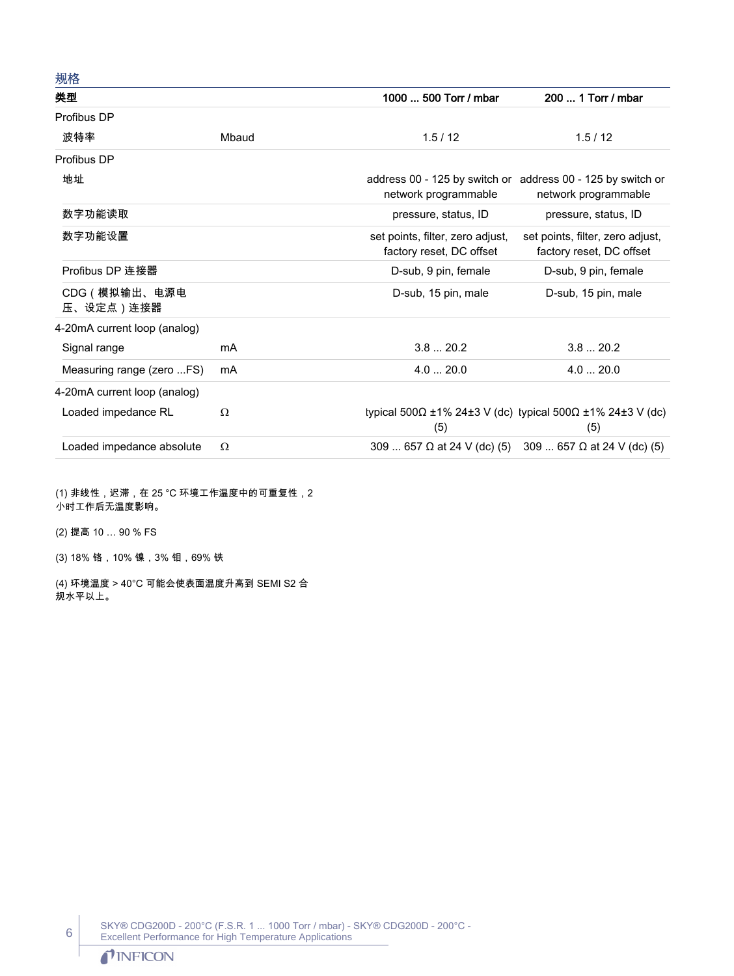| 规格                           |          |                                                              |                                                                                     |
|------------------------------|----------|--------------------------------------------------------------|-------------------------------------------------------------------------------------|
| 类型                           |          | 1000  500 Torr / mbar                                        | 200  1 Torr / mbar                                                                  |
| Profibus DP                  |          |                                                              |                                                                                     |
| 波特率                          | Mbaud    | 1.5/12                                                       | 1.5/12                                                                              |
| Profibus DP                  |          |                                                              |                                                                                     |
| 地址                           |          | network programmable                                         | address 00 - 125 by switch or address 00 - 125 by switch or<br>network programmable |
| 数字功能读取                       |          | pressure, status, ID                                         | pressure, status, ID                                                                |
| 数字功能设置                       |          | set points, filter, zero adjust,<br>factory reset, DC offset | set points, filter, zero adjust,<br>factory reset, DC offset                        |
| Profibus DP 连接器              |          | D-sub, 9 pin, female                                         | D-sub, 9 pin, female                                                                |
| CDG (模拟输出、电源电<br>压、设定点)连接器   |          | D-sub, 15 pin, male                                          | D-sub, 15 pin, male                                                                 |
| 4-20mA current loop (analog) |          |                                                              |                                                                                     |
| Signal range                 | mA       | 3.820.2                                                      | 3.820.2                                                                             |
| Measuring range (zero FS)    | mA       | 4.020.0                                                      | 4.020.0                                                                             |
| 4-20mA current loop (analog) |          |                                                              |                                                                                     |
| Loaded impedance RL          | Ω        | (5)                                                          | typical 500Ω ±1% 24±3 V (dc) typical 500Ω ±1% 24±3 V (dc)<br>(5)                    |
| Loaded impedance absolute    | $\Omega$ |                                                              | 309  657 $\Omega$ at 24 V (dc) (5) 309  657 $\Omega$ at 24 V (dc) (5)               |

(1) 非线性,迟滞,在 25 °C 环境工作温度中的可重复性,2 小时工作后无温度影响。

(2) 提高 10 … 90 % FS

(3) 18% 铬,10% 镍,3% 钼,69% 铁

(4) 环境温度 > 40°C 可能会使表面温度升高到 SEMI S2 合 规水平以上。

> SKY® CDG200D - 200°C (F.S.R. 1 ... 1000 Torr / mbar) - SKY® CDG200D - 200°C - Excellent Performance for High Temperature Applications